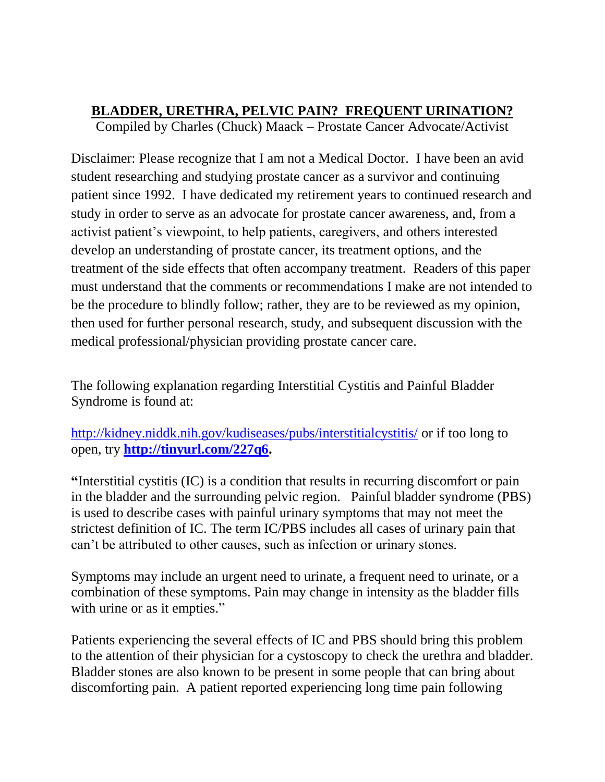## **BLADDER, URETHRA, PELVIC PAIN? FREQUENT URINATION?**

Compiled by Charles (Chuck) Maack – Prostate Cancer Advocate/Activist

Disclaimer: Please recognize that I am not a Medical Doctor. I have been an avid student researching and studying prostate cancer as a survivor and continuing patient since 1992. I have dedicated my retirement years to continued research and study in order to serve as an advocate for prostate cancer awareness, and, from a activist patient's viewpoint, to help patients, caregivers, and others interested develop an understanding of prostate cancer, its treatment options, and the treatment of the side effects that often accompany treatment. Readers of this paper must understand that the comments or recommendations I make are not intended to be the procedure to blindly follow; rather, they are to be reviewed as my opinion, then used for further personal research, study, and subsequent discussion with the medical professional/physician providing prostate cancer care.

The following explanation regarding Interstitial Cystitis and Painful Bladder Syndrome is found at:

<http://kidney.niddk.nih.gov/kudiseases/pubs/interstitialcystitis/> or if too long to open, try **[http://tinyurl.com/227q6.](http://tinyurl.com/227q6)**

**"**Interstitial cystitis (IC) is a condition that results in recurring discomfort or pain in the bladder and the surrounding pelvic region. Painful bladder syndrome (PBS) is used to describe cases with painful urinary symptoms that may not meet the strictest definition of IC. The term IC/PBS includes all cases of urinary pain that can't be attributed to other causes, such as infection or urinary stones.

Symptoms may include an urgent need to urinate, a frequent need to urinate, or a combination of these symptoms. Pain may change in intensity as the bladder fills with urine or as it empties."

Patients experiencing the several effects of IC and PBS should bring this problem to the attention of their physician for a cystoscopy to check the urethra and bladder. Bladder stones are also known to be present in some people that can bring about discomforting pain. A patient reported experiencing long time pain following